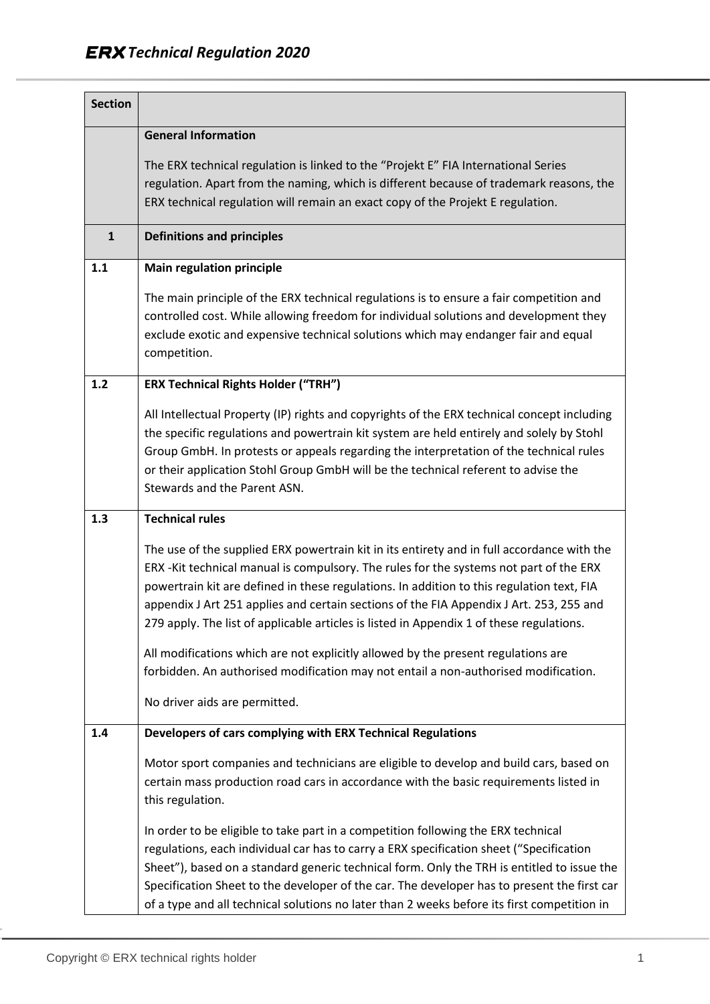| <b>Section</b> |                                                                                                                                                                                                                                                                                                                                                                                                                                                                          |
|----------------|--------------------------------------------------------------------------------------------------------------------------------------------------------------------------------------------------------------------------------------------------------------------------------------------------------------------------------------------------------------------------------------------------------------------------------------------------------------------------|
|                | <b>General Information</b>                                                                                                                                                                                                                                                                                                                                                                                                                                               |
|                | The ERX technical regulation is linked to the "Projekt E" FIA International Series<br>regulation. Apart from the naming, which is different because of trademark reasons, the<br>ERX technical regulation will remain an exact copy of the Projekt E regulation.                                                                                                                                                                                                         |
| $\mathbf{1}$   | <b>Definitions and principles</b>                                                                                                                                                                                                                                                                                                                                                                                                                                        |
| 1.1            | <b>Main regulation principle</b>                                                                                                                                                                                                                                                                                                                                                                                                                                         |
|                | The main principle of the ERX technical regulations is to ensure a fair competition and<br>controlled cost. While allowing freedom for individual solutions and development they<br>exclude exotic and expensive technical solutions which may endanger fair and equal<br>competition.                                                                                                                                                                                   |
| 1.2            | <b>ERX Technical Rights Holder ("TRH")</b>                                                                                                                                                                                                                                                                                                                                                                                                                               |
|                | All Intellectual Property (IP) rights and copyrights of the ERX technical concept including<br>the specific regulations and powertrain kit system are held entirely and solely by Stohl<br>Group GmbH. In protests or appeals regarding the interpretation of the technical rules<br>or their application Stohl Group GmbH will be the technical referent to advise the<br>Stewards and the Parent ASN.                                                                  |
| 1.3            | <b>Technical rules</b>                                                                                                                                                                                                                                                                                                                                                                                                                                                   |
|                | The use of the supplied ERX powertrain kit in its entirety and in full accordance with the<br>ERX -Kit technical manual is compulsory. The rules for the systems not part of the ERX<br>powertrain kit are defined in these regulations. In addition to this regulation text, FIA<br>appendix J Art 251 applies and certain sections of the FIA Appendix J Art. 253, 255 and<br>279 apply. The list of applicable articles is listed in Appendix 1 of these regulations. |
|                | All modifications which are not explicitly allowed by the present regulations are<br>forbidden. An authorised modification may not entail a non-authorised modification.                                                                                                                                                                                                                                                                                                 |
|                | No driver aids are permitted.                                                                                                                                                                                                                                                                                                                                                                                                                                            |
| 1.4            | Developers of cars complying with ERX Technical Regulations                                                                                                                                                                                                                                                                                                                                                                                                              |
|                | Motor sport companies and technicians are eligible to develop and build cars, based on<br>certain mass production road cars in accordance with the basic requirements listed in<br>this regulation.                                                                                                                                                                                                                                                                      |
|                | In order to be eligible to take part in a competition following the ERX technical<br>regulations, each individual car has to carry a ERX specification sheet ("Specification<br>Sheet"), based on a standard generic technical form. Only the TRH is entitled to issue the<br>Specification Sheet to the developer of the car. The developer has to present the first car<br>of a type and all technical solutions no later than 2 weeks before its first competition in |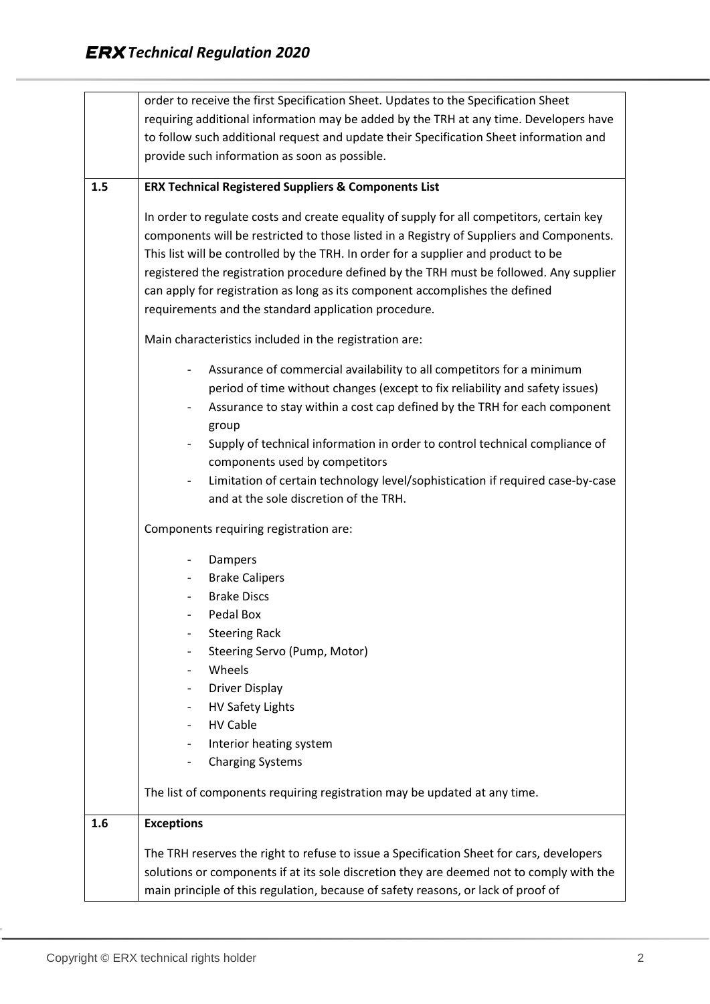|     | order to receive the first Specification Sheet. Updates to the Specification Sheet                |
|-----|---------------------------------------------------------------------------------------------------|
|     | requiring additional information may be added by the TRH at any time. Developers have             |
|     | to follow such additional request and update their Specification Sheet information and            |
|     | provide such information as soon as possible.                                                     |
| 1.5 | <b>ERX Technical Registered Suppliers &amp; Components List</b>                                   |
|     |                                                                                                   |
|     | In order to regulate costs and create equality of supply for all competitors, certain key         |
|     | components will be restricted to those listed in a Registry of Suppliers and Components.          |
|     | This list will be controlled by the TRH. In order for a supplier and product to be                |
|     | registered the registration procedure defined by the TRH must be followed. Any supplier           |
|     | can apply for registration as long as its component accomplishes the defined                      |
|     | requirements and the standard application procedure.                                              |
|     | Main characteristics included in the registration are:                                            |
|     | Assurance of commercial availability to all competitors for a minimum<br>$\overline{\phantom{0}}$ |
|     | period of time without changes (except to fix reliability and safety issues)                      |
|     | Assurance to stay within a cost cap defined by the TRH for each component                         |
|     | group                                                                                             |
|     | Supply of technical information in order to control technical compliance of                       |
|     | components used by competitors                                                                    |
|     | Limitation of certain technology level/sophistication if required case-by-case                    |
|     | and at the sole discretion of the TRH.                                                            |
|     | Components requiring registration are:                                                            |
|     | Dampers<br>-                                                                                      |
|     | <b>Brake Calipers</b>                                                                             |
|     | <b>Brake Discs</b>                                                                                |
|     | Pedal Box                                                                                         |
|     | <b>Steering Rack</b>                                                                              |
|     | Steering Servo (Pump, Motor)                                                                      |
|     | Wheels                                                                                            |
|     | <b>Driver Display</b>                                                                             |
|     | HV Safety Lights                                                                                  |
|     | <b>HV Cable</b>                                                                                   |
|     | Interior heating system                                                                           |
|     | <b>Charging Systems</b>                                                                           |
|     | The list of components requiring registration may be updated at any time.                         |
| 1.6 | <b>Exceptions</b>                                                                                 |
|     | The TRH reserves the right to refuse to issue a Specification Sheet for cars, developers          |
|     | solutions or components if at its sole discretion they are deemed not to comply with the          |
|     | main principle of this regulation, because of safety reasons, or lack of proof of                 |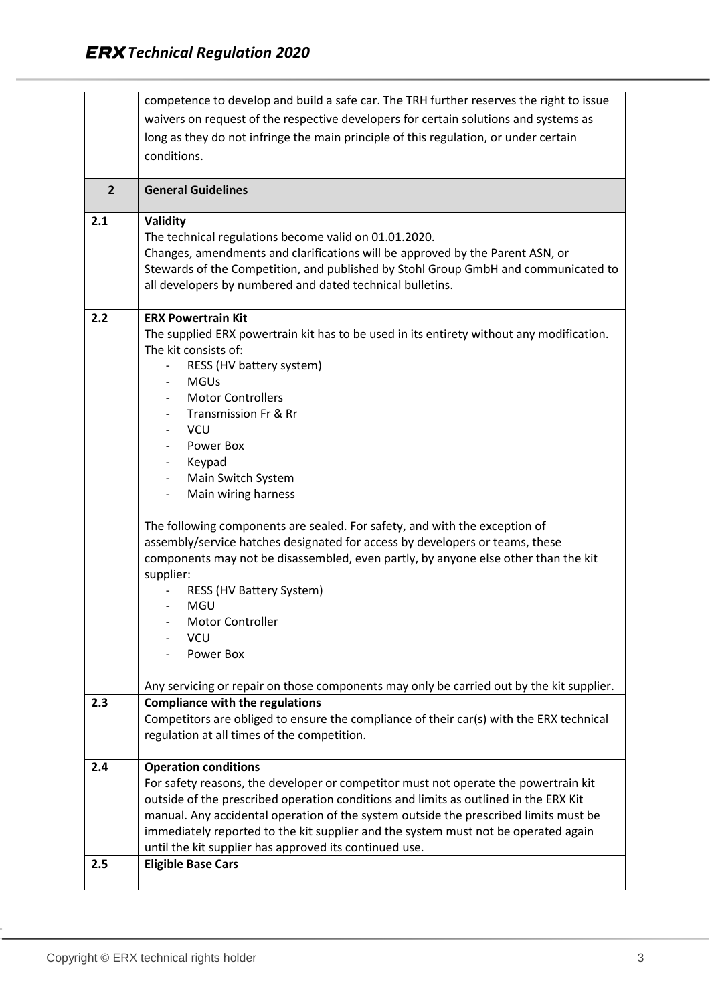|                | competence to develop and build a safe car. The TRH further reserves the right to issue                                                                                                                                                          |
|----------------|--------------------------------------------------------------------------------------------------------------------------------------------------------------------------------------------------------------------------------------------------|
|                | waivers on request of the respective developers for certain solutions and systems as                                                                                                                                                             |
|                | long as they do not infringe the main principle of this regulation, or under certain                                                                                                                                                             |
|                | conditions.                                                                                                                                                                                                                                      |
|                |                                                                                                                                                                                                                                                  |
| $\overline{2}$ | <b>General Guidelines</b>                                                                                                                                                                                                                        |
| 2.1            | <b>Validity</b>                                                                                                                                                                                                                                  |
|                | The technical regulations become valid on 01.01.2020.                                                                                                                                                                                            |
|                | Changes, amendments and clarifications will be approved by the Parent ASN, or                                                                                                                                                                    |
|                | Stewards of the Competition, and published by Stohl Group GmbH and communicated to                                                                                                                                                               |
|                | all developers by numbered and dated technical bulletins.                                                                                                                                                                                        |
|                | <b>ERX Powertrain Kit</b>                                                                                                                                                                                                                        |
| 2.2            | The supplied ERX powertrain kit has to be used in its entirety without any modification.                                                                                                                                                         |
|                | The kit consists of:                                                                                                                                                                                                                             |
|                | RESS (HV battery system)                                                                                                                                                                                                                         |
|                | <b>MGUs</b><br>$\overline{\phantom{a}}$                                                                                                                                                                                                          |
|                | <b>Motor Controllers</b><br>$\blacksquare$                                                                                                                                                                                                       |
|                | Transmission Fr & Rr                                                                                                                                                                                                                             |
|                | <b>VCU</b>                                                                                                                                                                                                                                       |
|                | Power Box<br>$\overline{\phantom{a}}$                                                                                                                                                                                                            |
|                | Keypad<br>$\blacksquare$                                                                                                                                                                                                                         |
|                | Main Switch System<br>$\blacksquare$                                                                                                                                                                                                             |
|                | Main wiring harness<br>$\blacksquare$                                                                                                                                                                                                            |
|                | The following components are sealed. For safety, and with the exception of<br>assembly/service hatches designated for access by developers or teams, these<br>components may not be disassembled, even partly, by anyone else other than the kit |
|                | supplier:<br>RESS (HV Battery System)                                                                                                                                                                                                            |
|                | MGU                                                                                                                                                                                                                                              |
|                | <b>Motor Controller</b>                                                                                                                                                                                                                          |
|                | <b>VCU</b>                                                                                                                                                                                                                                       |
|                | Power Box                                                                                                                                                                                                                                        |
|                | Any servicing or repair on those components may only be carried out by the kit supplier.                                                                                                                                                         |
| 2.3            | <b>Compliance with the regulations</b>                                                                                                                                                                                                           |
|                | Competitors are obliged to ensure the compliance of their car(s) with the ERX technical                                                                                                                                                          |
|                | regulation at all times of the competition.                                                                                                                                                                                                      |
| 2.4            | <b>Operation conditions</b>                                                                                                                                                                                                                      |
|                | For safety reasons, the developer or competitor must not operate the powertrain kit                                                                                                                                                              |
|                | outside of the prescribed operation conditions and limits as outlined in the ERX Kit                                                                                                                                                             |
|                | manual. Any accidental operation of the system outside the prescribed limits must be                                                                                                                                                             |
|                | immediately reported to the kit supplier and the system must not be operated again                                                                                                                                                               |
|                | until the kit supplier has approved its continued use.                                                                                                                                                                                           |
| 2.5            | <b>Eligible Base Cars</b>                                                                                                                                                                                                                        |
|                |                                                                                                                                                                                                                                                  |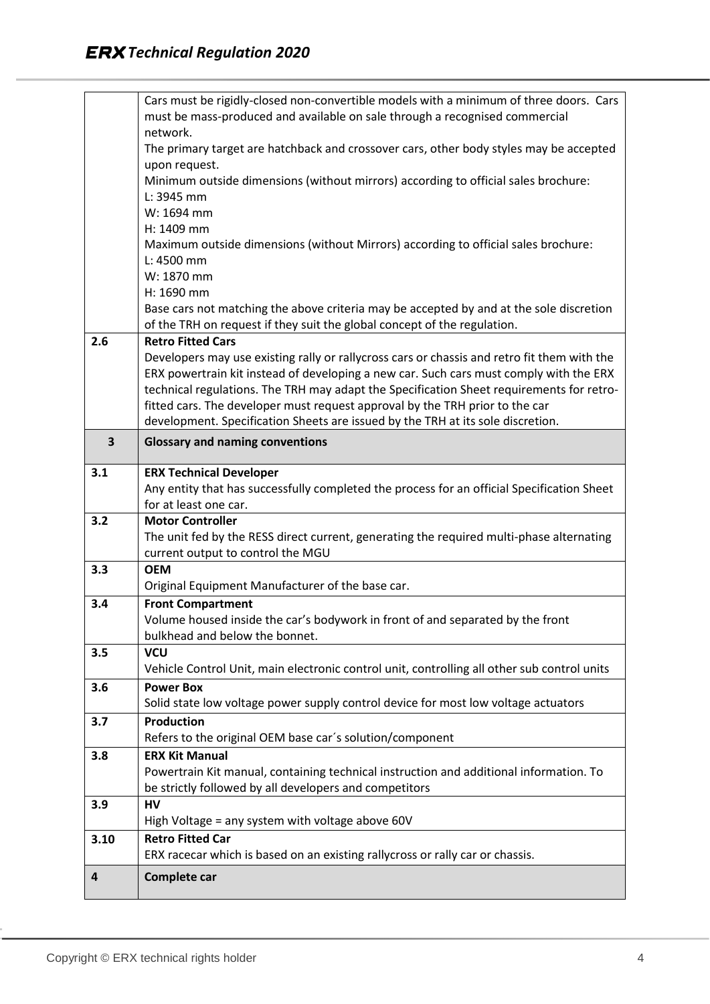|                         | Cars must be rigidly-closed non-convertible models with a minimum of three doors. Cars<br>must be mass-produced and available on sale through a recognised commercial |
|-------------------------|-----------------------------------------------------------------------------------------------------------------------------------------------------------------------|
|                         | network.                                                                                                                                                              |
|                         | The primary target are hatchback and crossover cars, other body styles may be accepted                                                                                |
|                         | upon request.                                                                                                                                                         |
|                         | Minimum outside dimensions (without mirrors) according to official sales brochure:                                                                                    |
|                         | L: 3945 mm                                                                                                                                                            |
|                         | W: 1694 mm                                                                                                                                                            |
|                         | H: 1409 mm                                                                                                                                                            |
|                         | Maximum outside dimensions (without Mirrors) according to official sales brochure:                                                                                    |
|                         | L: 4500 mm                                                                                                                                                            |
|                         | W: 1870 mm                                                                                                                                                            |
|                         | H: 1690 mm                                                                                                                                                            |
|                         | Base cars not matching the above criteria may be accepted by and at the sole discretion                                                                               |
|                         | of the TRH on request if they suit the global concept of the regulation.                                                                                              |
| 2.6                     | <b>Retro Fitted Cars</b>                                                                                                                                              |
|                         | Developers may use existing rally or rallycross cars or chassis and retro fit them with the                                                                           |
|                         | ERX powertrain kit instead of developing a new car. Such cars must comply with the ERX                                                                                |
|                         | technical regulations. The TRH may adapt the Specification Sheet requirements for retro-                                                                              |
|                         | fitted cars. The developer must request approval by the TRH prior to the car                                                                                          |
|                         | development. Specification Sheets are issued by the TRH at its sole discretion.                                                                                       |
| $\overline{\mathbf{3}}$ | <b>Glossary and naming conventions</b>                                                                                                                                |
| 3.1                     | <b>ERX Technical Developer</b>                                                                                                                                        |
|                         | Any entity that has successfully completed the process for an official Specification Sheet                                                                            |
|                         | for at least one car.                                                                                                                                                 |
|                         |                                                                                                                                                                       |
| 3.2                     | <b>Motor Controller</b>                                                                                                                                               |
|                         | The unit fed by the RESS direct current, generating the required multi-phase alternating                                                                              |
|                         | current output to control the MGU                                                                                                                                     |
| 3.3                     | <b>OEM</b>                                                                                                                                                            |
|                         | Original Equipment Manufacturer of the base car.                                                                                                                      |
| 3.4                     | <b>Front Compartment</b>                                                                                                                                              |
|                         | Volume housed inside the car's bodywork in front of and separated by the front                                                                                        |
|                         | bulkhead and below the bonnet.                                                                                                                                        |
| 3.5                     | <b>VCU</b>                                                                                                                                                            |
|                         | Vehicle Control Unit, main electronic control unit, controlling all other sub control units                                                                           |
| 3.6                     | <b>Power Box</b>                                                                                                                                                      |
|                         | Solid state low voltage power supply control device for most low voltage actuators                                                                                    |
| 3.7                     | <b>Production</b>                                                                                                                                                     |
| 3.8                     | Refers to the original OEM base car's solution/component<br><b>ERX Kit Manual</b>                                                                                     |
|                         |                                                                                                                                                                       |
|                         | Powertrain Kit manual, containing technical instruction and additional information. To<br>be strictly followed by all developers and competitors                      |
| 3.9                     | HV                                                                                                                                                                    |
|                         | High Voltage = any system with voltage above 60V                                                                                                                      |
| 3.10                    | <b>Retro Fitted Car</b>                                                                                                                                               |
|                         | ERX racecar which is based on an existing rallycross or rally car or chassis.                                                                                         |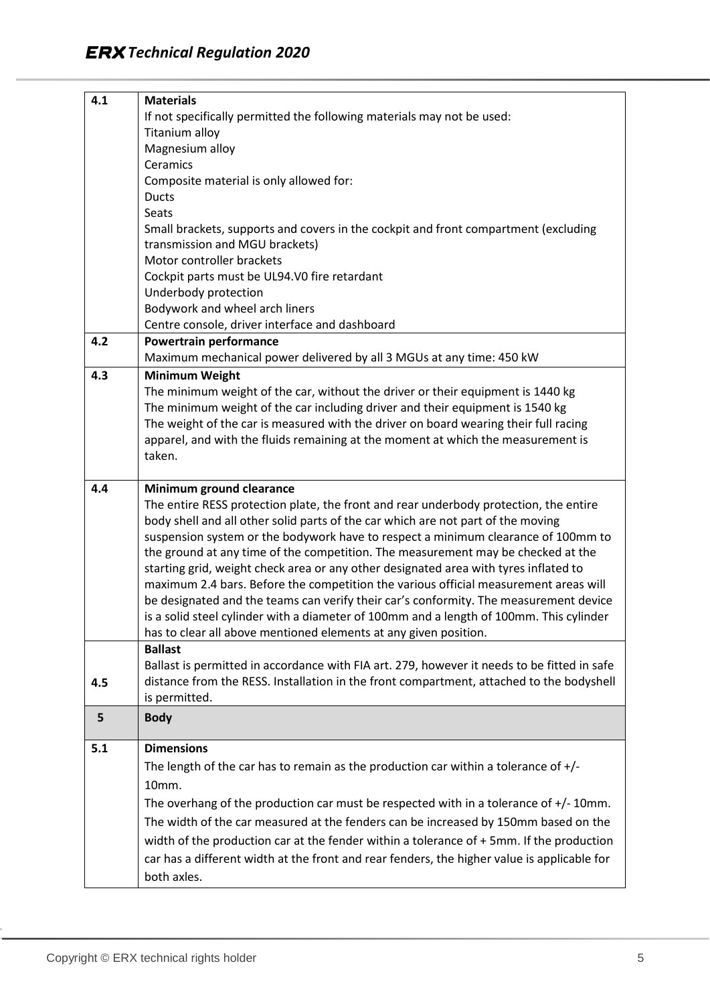| 4.1 | <b>Materials</b>                                                                            |
|-----|---------------------------------------------------------------------------------------------|
|     | If not specifically permitted the following materials may not be used:                      |
|     | Titanium alloy                                                                              |
|     | Magnesium alloy                                                                             |
|     | Ceramics                                                                                    |
|     | Composite material is only allowed for:                                                     |
|     | <b>Ducts</b>                                                                                |
|     | Seats                                                                                       |
|     | Small brackets, supports and covers in the cockpit and front compartment (excluding         |
|     | transmission and MGU brackets)                                                              |
|     | Motor controller brackets                                                                   |
|     | Cockpit parts must be UL94.V0 fire retardant                                                |
|     | Underbody protection                                                                        |
|     | Bodywork and wheel arch liners                                                              |
|     | Centre console, driver interface and dashboard                                              |
| 4.2 | Powertrain performance                                                                      |
|     | Maximum mechanical power delivered by all 3 MGUs at any time: 450 kW                        |
| 4.3 | <b>Minimum Weight</b>                                                                       |
|     | The minimum weight of the car, without the driver or their equipment is 1440 kg             |
|     | The minimum weight of the car including driver and their equipment is 1540 kg               |
|     | The weight of the car is measured with the driver on board wearing their full racing        |
|     | apparel, and with the fluids remaining at the moment at which the measurement is            |
|     | taken.                                                                                      |
|     |                                                                                             |
| 4.4 | Minimum ground clearance                                                                    |
|     | The entire RESS protection plate, the front and rear underbody protection, the entire       |
|     | body shell and all other solid parts of the car which are not part of the moving            |
|     | suspension system or the bodywork have to respect a minimum clearance of 100mm to           |
|     | the ground at any time of the competition. The measurement may be checked at the            |
|     | starting grid, weight check area or any other designated area with tyres inflated to        |
|     | maximum 2.4 bars. Before the competition the various official measurement areas will        |
|     | be designated and the teams can verify their car's conformity. The measurement device       |
|     | is a solid steel cylinder with a diameter of 100mm and a length of 100mm. This cylinder     |
|     | has to clear all above mentioned elements at any given position.                            |
|     | <b>Ballast</b>                                                                              |
|     | Ballast is permitted in accordance with FIA art. 279, however it needs to be fitted in safe |
| 4.5 | distance from the RESS. Installation in the front compartment, attached to the bodyshell    |
|     | is permitted.                                                                               |
| 5   | <b>Body</b>                                                                                 |
| 5.1 | <b>Dimensions</b>                                                                           |
|     | The length of the car has to remain as the production car within a tolerance of $+/-$       |
|     | 10mm.                                                                                       |
|     | The overhang of the production car must be respected with in a tolerance of $+/-10$ mm.     |
|     | The width of the car measured at the fenders can be increased by 150mm based on the         |
|     |                                                                                             |
|     | width of the production car at the fender within a tolerance of $+$ 5mm. If the production  |
|     | car has a different width at the front and rear fenders, the higher value is applicable for |
|     | both axles.                                                                                 |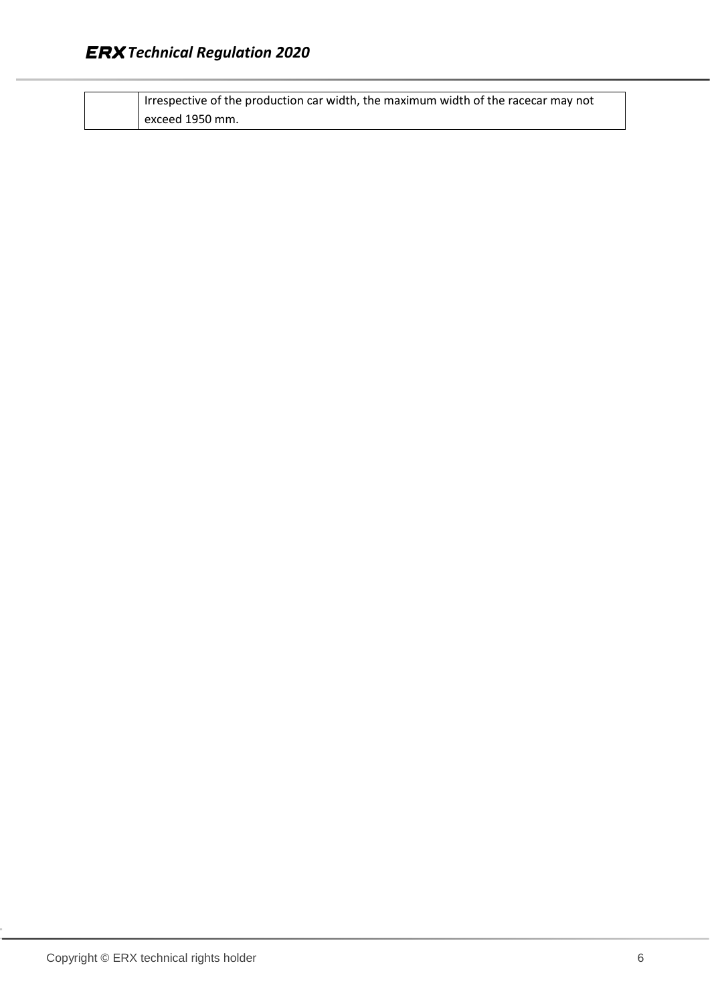| I Irrespective of the production car width, the maximum width of the racecar may not |
|--------------------------------------------------------------------------------------|
| exceed 1950 mm.                                                                      |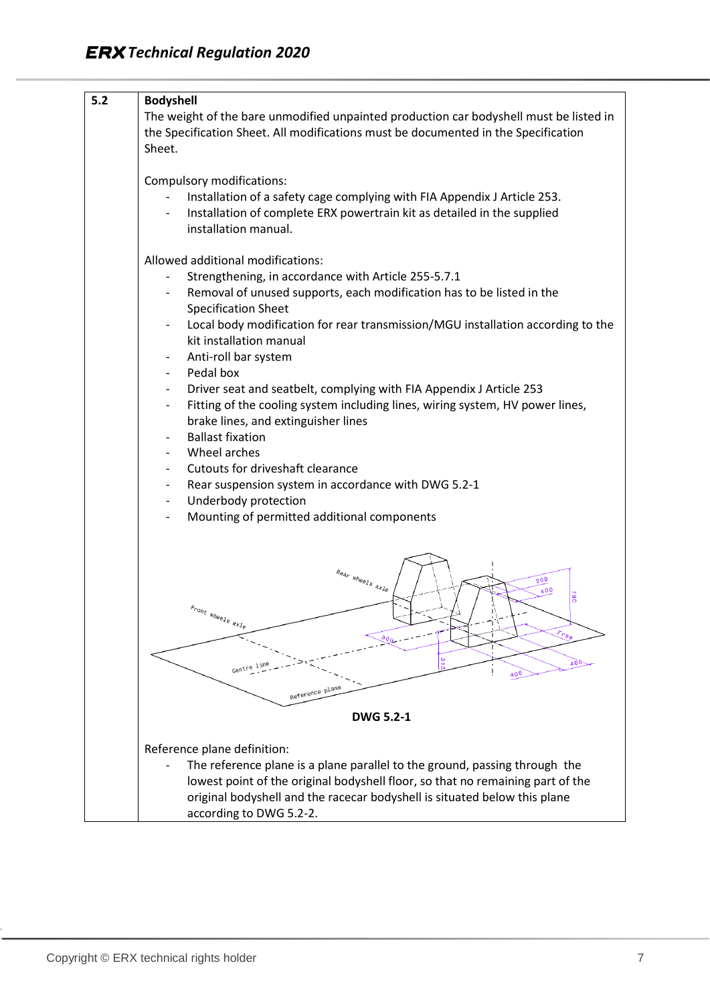| 5.2 | <b>Bodyshell</b>                                                                                            |
|-----|-------------------------------------------------------------------------------------------------------------|
|     | The weight of the bare unmodified unpainted production car bodyshell must be listed in                      |
|     | the Specification Sheet. All modifications must be documented in the Specification                          |
|     | Sheet.                                                                                                      |
|     |                                                                                                             |
|     |                                                                                                             |
|     | Compulsory modifications:                                                                                   |
|     | Installation of a safety cage complying with FIA Appendix J Article 253.                                    |
|     | Installation of complete ERX powertrain kit as detailed in the supplied<br>$\overline{\phantom{a}}$         |
|     | installation manual.                                                                                        |
|     |                                                                                                             |
|     | Allowed additional modifications:                                                                           |
|     | Strengthening, in accordance with Article 255-5.7.1                                                         |
|     | Removal of unused supports, each modification has to be listed in the                                       |
|     | <b>Specification Sheet</b>                                                                                  |
|     | Local body modification for rear transmission/MGU installation according to the<br>$\overline{\phantom{a}}$ |
|     | kit installation manual                                                                                     |
|     | Anti-roll bar system                                                                                        |
|     | Pedal box<br>$\overline{\phantom{a}}$                                                                       |
|     | Driver seat and seatbelt, complying with FIA Appendix J Article 253<br>$\overline{\phantom{a}}$             |
|     | Fitting of the cooling system including lines, wiring system, HV power lines,<br>$\overline{\phantom{a}}$   |
|     | brake lines, and extinguisher lines                                                                         |
|     | <b>Ballast fixation</b>                                                                                     |
|     | Wheel arches                                                                                                |
|     | Cutouts for driveshaft clearance                                                                            |
|     | Rear suspension system in accordance with DWG 5.2-1<br>$\overline{\phantom{a}}$                             |
|     | Underbody protection<br>$\overline{\phantom{a}}$                                                            |
|     | Mounting of permitted additional components                                                                 |
|     |                                                                                                             |
|     |                                                                                                             |
|     |                                                                                                             |
|     | $\begin{array}{cc} R_{\theta q_{P}} & \text{w}_{\theta\theta l\mathcal{S}} \end{array}$ axle<br>200         |
|     | 400<br><b>082</b>                                                                                           |
|     |                                                                                                             |
|     | $\epsilon_{\textit{r}_{\textit{0}}\eta_{\textit{t}}\text{ where }s_{\textit{a}}\text{,}}$                   |
|     | $\kappa_{\rho_{\theta_\ell}}$                                                                               |
|     |                                                                                                             |
|     | 400-<br>Centre<br>400                                                                                       |
|     |                                                                                                             |
|     | Reference plane                                                                                             |
|     | <b>DWG 5.2-1</b>                                                                                            |
|     | Reference plane definition:                                                                                 |
|     |                                                                                                             |
|     | The reference plane is a plane parallel to the ground, passing through the                                  |
|     | lowest point of the original bodyshell floor, so that no remaining part of the                              |
|     | original bodyshell and the racecar bodyshell is situated below this plane                                   |
|     | according to DWG 5.2-2.                                                                                     |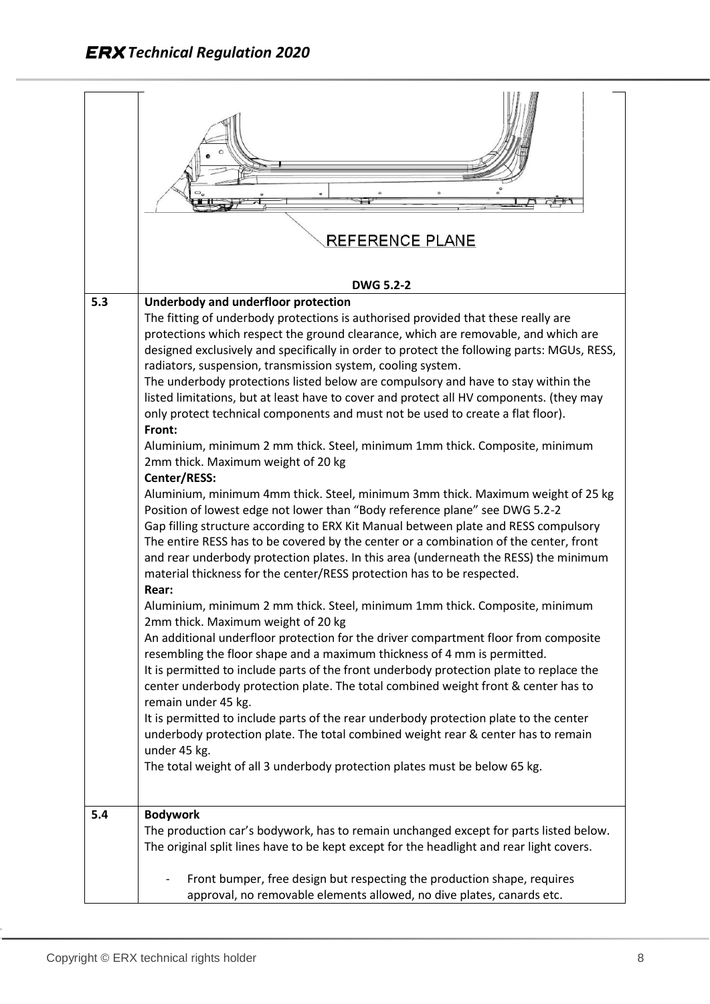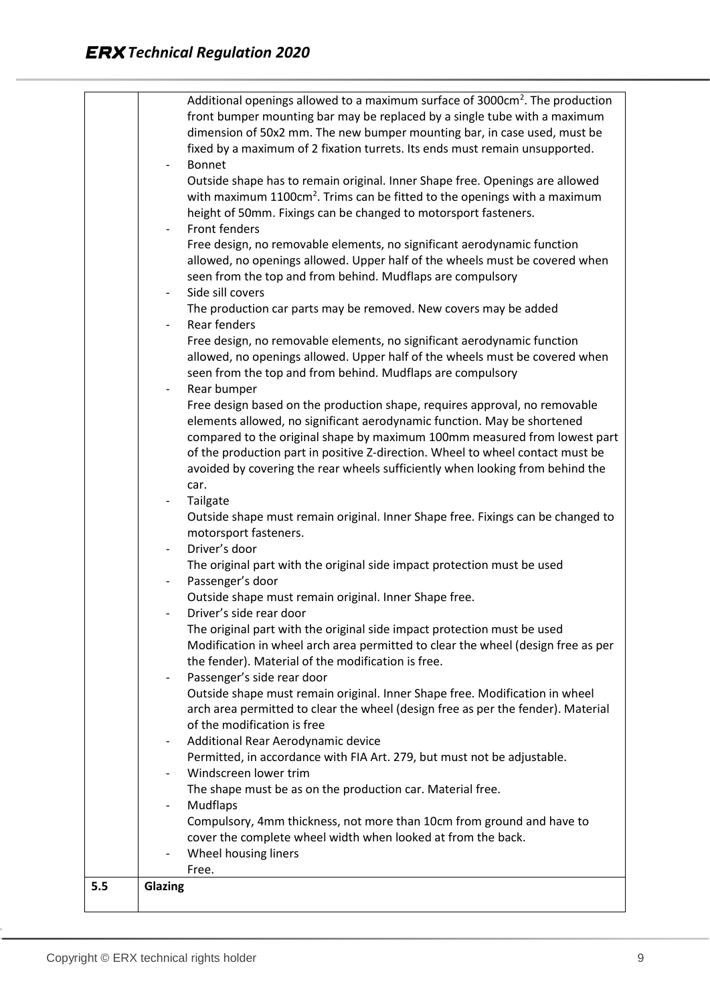|     | Additional openings allowed to a maximum surface of 3000cm <sup>2</sup> . The production |
|-----|------------------------------------------------------------------------------------------|
|     | front bumper mounting bar may be replaced by a single tube with a maximum                |
|     | dimension of 50x2 mm. The new bumper mounting bar, in case used, must be                 |
|     | fixed by a maximum of 2 fixation turrets. Its ends must remain unsupported.              |
|     | Bonnet<br>$\sim$                                                                         |
|     | Outside shape has to remain original. Inner Shape free. Openings are allowed             |
|     | with maximum 1100cm <sup>2</sup> . Trims can be fitted to the openings with a maximum    |
|     | height of 50mm. Fixings can be changed to motorsport fasteners.                          |
|     | Front fenders<br>$\sim$ $-$                                                              |
|     | Free design, no removable elements, no significant aerodynamic function                  |
|     | allowed, no openings allowed. Upper half of the wheels must be covered when              |
|     | seen from the top and from behind. Mudflaps are compulsory                               |
|     | Side sill covers<br>$\overline{\phantom{0}}$                                             |
|     | The production car parts may be removed. New covers may be added                         |
|     | Rear fenders                                                                             |
|     | Free design, no removable elements, no significant aerodynamic function                  |
|     | allowed, no openings allowed. Upper half of the wheels must be covered when              |
|     | seen from the top and from behind. Mudflaps are compulsory                               |
|     | Rear bumper<br>$\sim$                                                                    |
|     | Free design based on the production shape, requires approval, no removable               |
|     | elements allowed, no significant aerodynamic function. May be shortened                  |
|     | compared to the original shape by maximum 100mm measured from lowest part                |
|     | of the production part in positive Z-direction. Wheel to wheel contact must be           |
|     | avoided by covering the rear wheels sufficiently when looking from behind the            |
|     | car.                                                                                     |
|     | Tailgate<br>$\sim$                                                                       |
|     | Outside shape must remain original. Inner Shape free. Fixings can be changed to          |
|     | motorsport fasteners.                                                                    |
|     | Driver's door<br>$\overline{\phantom{a}}$                                                |
|     | The original part with the original side impact protection must be used                  |
|     | Passenger's door                                                                         |
|     | Outside shape must remain original. Inner Shape free.                                    |
|     | Driver's side rear door                                                                  |
|     | The original part with the original side impact protection must be used                  |
|     | Modification in wheel arch area permitted to clear the wheel (design free as per         |
|     | the fender). Material of the modification is free.                                       |
|     | Passenger's side rear door<br>$\overline{\phantom{a}}$                                   |
|     | Outside shape must remain original. Inner Shape free. Modification in wheel              |
|     | arch area permitted to clear the wheel (design free as per the fender). Material         |
|     | of the modification is free                                                              |
|     | Additional Rear Aerodynamic device<br>-                                                  |
|     | Permitted, in accordance with FIA Art. 279, but must not be adjustable.                  |
|     | Windscreen lower trim                                                                    |
|     | The shape must be as on the production car. Material free.                               |
|     | Mudflaps<br>$\qquad \qquad -$                                                            |
|     | Compulsory, 4mm thickness, not more than 10cm from ground and have to                    |
|     | cover the complete wheel width when looked at from the back.                             |
|     | Wheel housing liners                                                                     |
|     | Free.                                                                                    |
| 5.5 | Glazing                                                                                  |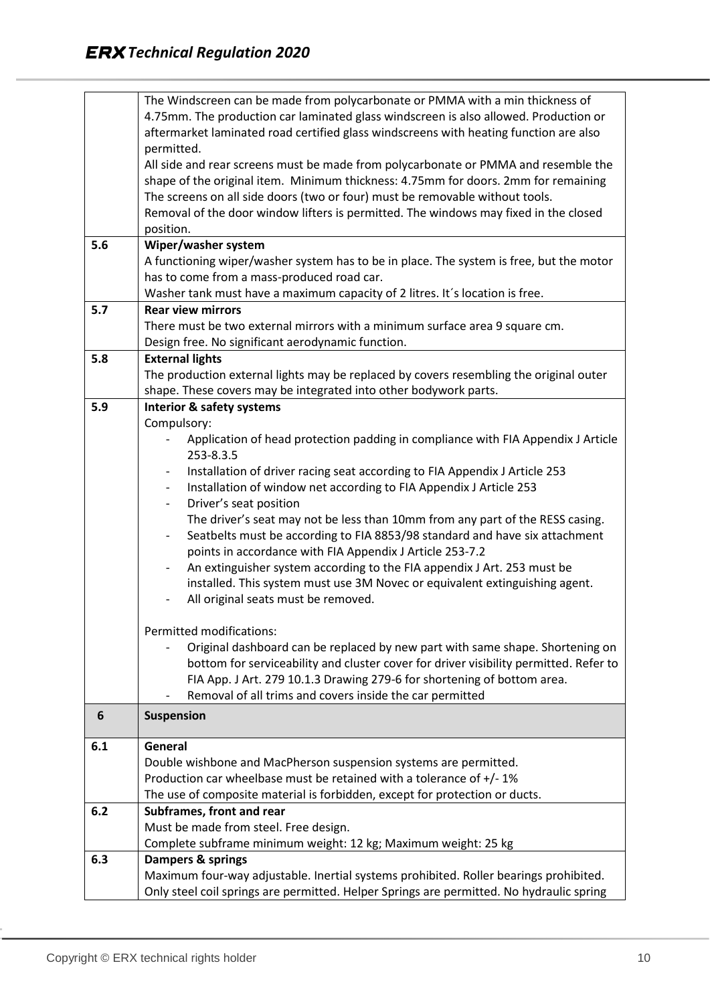|     | The Windscreen can be made from polycarbonate or PMMA with a min thickness of                           |
|-----|---------------------------------------------------------------------------------------------------------|
|     | 4.75mm. The production car laminated glass windscreen is also allowed. Production or                    |
|     | aftermarket laminated road certified glass windscreens with heating function are also                   |
|     | permitted.                                                                                              |
|     | All side and rear screens must be made from polycarbonate or PMMA and resemble the                      |
|     | shape of the original item. Minimum thickness: 4.75mm for doors. 2mm for remaining                      |
|     | The screens on all side doors (two or four) must be removable without tools.                            |
|     | Removal of the door window lifters is permitted. The windows may fixed in the closed                    |
|     | position.                                                                                               |
| 5.6 | Wiper/washer system                                                                                     |
|     | A functioning wiper/washer system has to be in place. The system is free, but the motor                 |
|     | has to come from a mass-produced road car.                                                              |
|     | Washer tank must have a maximum capacity of 2 litres. It's location is free.                            |
| 5.7 | <b>Rear view mirrors</b>                                                                                |
|     | There must be two external mirrors with a minimum surface area 9 square cm.                             |
|     | Design free. No significant aerodynamic function.                                                       |
| 5.8 | <b>External lights</b>                                                                                  |
|     | The production external lights may be replaced by covers resembling the original outer                  |
|     | shape. These covers may be integrated into other bodywork parts.                                        |
| 5.9 |                                                                                                         |
|     | <b>Interior &amp; safety systems</b><br>Compulsory:                                                     |
|     |                                                                                                         |
|     | Application of head protection padding in compliance with FIA Appendix J Article                        |
|     | 253-8.3.5                                                                                               |
|     | Installation of driver racing seat according to FIA Appendix J Article 253<br>-                         |
|     | Installation of window net according to FIA Appendix J Article 253<br>$\overline{\phantom{a}}$          |
|     | Driver's seat position<br>$\overline{\phantom{a}}$                                                      |
|     | The driver's seat may not be less than 10mm from any part of the RESS casing.                           |
|     | Seatbelts must be according to FIA 8853/98 standard and have six attachment<br>$\overline{\phantom{0}}$ |
|     | points in accordance with FIA Appendix J Article 253-7.2                                                |
|     | An extinguisher system according to the FIA appendix J Art. 253 must be<br>$\overline{\phantom{a}}$     |
|     | installed. This system must use 3M Novec or equivalent extinguishing agent.                             |
|     | All original seats must be removed.                                                                     |
|     |                                                                                                         |
|     | Permitted modifications:                                                                                |
|     | Original dashboard can be replaced by new part with same shape. Shortening on                           |
|     | bottom for serviceability and cluster cover for driver visibility permitted. Refer to                   |
|     | FIA App. J Art. 279 10.1.3 Drawing 279-6 for shortening of bottom area.                                 |
|     | Removal of all trims and covers inside the car permitted                                                |
| 6   | Suspension                                                                                              |
|     |                                                                                                         |
| 6.1 | General<br>Double wishbone and MacPherson suspension systems are permitted.                             |
|     |                                                                                                         |
|     | Production car wheelbase must be retained with a tolerance of $+/-1\%$                                  |
|     | The use of composite material is forbidden, except for protection or ducts.                             |
| 6.2 | Subframes, front and rear                                                                               |
|     | Must be made from steel. Free design.                                                                   |
|     | Complete subframe minimum weight: 12 kg; Maximum weight: 25 kg                                          |
| 6.3 | Dampers & springs                                                                                       |
|     | Maximum four-way adjustable. Inertial systems prohibited. Roller bearings prohibited.                   |
|     | Only steel coil springs are permitted. Helper Springs are permitted. No hydraulic spring                |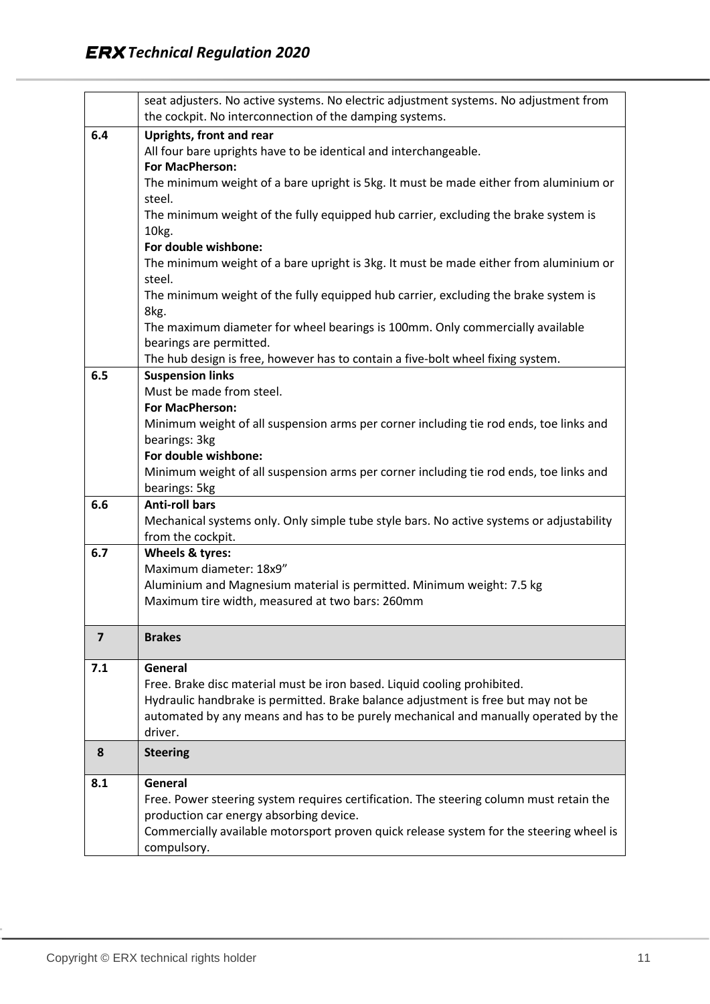|                | seat adjusters. No active systems. No electric adjustment systems. No adjustment from    |
|----------------|------------------------------------------------------------------------------------------|
|                | the cockpit. No interconnection of the damping systems.                                  |
| 6.4            | <b>Uprights, front and rear</b>                                                          |
|                | All four bare uprights have to be identical and interchangeable.                         |
|                | For MacPherson:                                                                          |
|                | The minimum weight of a bare upright is 5kg. It must be made either from aluminium or    |
|                | steel.                                                                                   |
|                | The minimum weight of the fully equipped hub carrier, excluding the brake system is      |
|                | 10kg.<br>For double wishbone:                                                            |
|                | The minimum weight of a bare upright is 3kg. It must be made either from aluminium or    |
|                | steel.                                                                                   |
|                | The minimum weight of the fully equipped hub carrier, excluding the brake system is      |
|                | 8kg.                                                                                     |
|                | The maximum diameter for wheel bearings is 100mm. Only commercially available            |
|                | bearings are permitted.                                                                  |
|                | The hub design is free, however has to contain a five-bolt wheel fixing system.          |
| 6.5            | <b>Suspension links</b>                                                                  |
|                | Must be made from steel.                                                                 |
|                | For MacPherson:                                                                          |
|                | Minimum weight of all suspension arms per corner including tie rod ends, toe links and   |
|                | bearings: 3kg                                                                            |
|                | For double wishbone:                                                                     |
|                | Minimum weight of all suspension arms per corner including tie rod ends, toe links and   |
|                | bearings: 5kg                                                                            |
| 6.6            | <b>Anti-roll bars</b>                                                                    |
|                | Mechanical systems only. Only simple tube style bars. No active systems or adjustability |
| 6.7            | from the cockpit.<br>Wheels & tyres:                                                     |
|                | Maximum diameter: 18x9"                                                                  |
|                | Aluminium and Magnesium material is permitted. Minimum weight: 7.5 kg                    |
|                | Maximum tire width, measured at two bars: 260mm                                          |
|                |                                                                                          |
| $\overline{7}$ | <b>Brakes</b>                                                                            |
|                |                                                                                          |
| 7.1            | General                                                                                  |
|                | Free. Brake disc material must be iron based. Liquid cooling prohibited.                 |
|                | Hydraulic handbrake is permitted. Brake balance adjustment is free but may not be        |
|                | automated by any means and has to be purely mechanical and manually operated by the      |
|                | driver.                                                                                  |
| 8              | <b>Steering</b>                                                                          |
| 8.1            | General                                                                                  |
|                | Free. Power steering system requires certification. The steering column must retain the  |
|                | production car energy absorbing device.                                                  |
|                | Commercially available motorsport proven quick release system for the steering wheel is  |
|                | compulsory.                                                                              |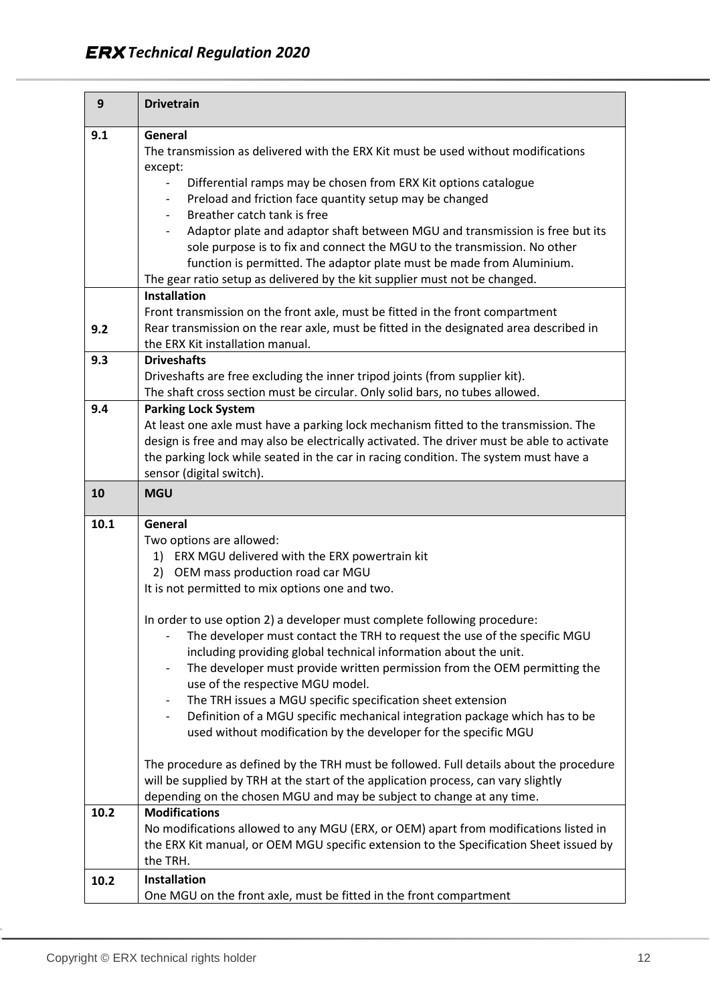| 9    | <b>Drivetrain</b>                                                                                                  |
|------|--------------------------------------------------------------------------------------------------------------------|
| 9.1  | General                                                                                                            |
|      | The transmission as delivered with the ERX Kit must be used without modifications                                  |
|      | except:                                                                                                            |
|      | Differential ramps may be chosen from ERX Kit options catalogue                                                    |
|      | Preload and friction face quantity setup may be changed<br>$\overline{\phantom{a}}$<br>Breather catch tank is free |
|      | Adaptor plate and adaptor shaft between MGU and transmission is free but its                                       |
|      | sole purpose is to fix and connect the MGU to the transmission. No other                                           |
|      | function is permitted. The adaptor plate must be made from Aluminium.                                              |
|      | The gear ratio setup as delivered by the kit supplier must not be changed.                                         |
|      | <b>Installation</b>                                                                                                |
|      | Front transmission on the front axle, must be fitted in the front compartment                                      |
| 9.2  | Rear transmission on the rear axle, must be fitted in the designated area described in                             |
|      | the ERX Kit installation manual.                                                                                   |
| 9.3  | <b>Driveshafts</b>                                                                                                 |
|      | Driveshafts are free excluding the inner tripod joints (from supplier kit).                                        |
| 9.4  | The shaft cross section must be circular. Only solid bars, no tubes allowed.<br><b>Parking Lock System</b>         |
|      | At least one axle must have a parking lock mechanism fitted to the transmission. The                               |
|      | design is free and may also be electrically activated. The driver must be able to activate                         |
|      | the parking lock while seated in the car in racing condition. The system must have a                               |
|      | sensor (digital switch).                                                                                           |
| 10   | <b>MGU</b>                                                                                                         |
| 10.1 | General                                                                                                            |
|      | Two options are allowed:                                                                                           |
|      | 1) ERX MGU delivered with the ERX powertrain kit                                                                   |
|      | 2) OEM mass production road car MGU                                                                                |
|      | It is not permitted to mix options one and two.                                                                    |
|      | In order to use option 2) a developer must complete following procedure:                                           |
|      | The developer must contact the TRH to request the use of the specific MGU                                          |
|      | including providing global technical information about the unit.                                                   |
|      | The developer must provide written permission from the OEM permitting the<br>-                                     |
|      | use of the respective MGU model.                                                                                   |
|      | The TRH issues a MGU specific specification sheet extension<br>-                                                   |
|      | Definition of a MGU specific mechanical integration package which has to be                                        |
|      | used without modification by the developer for the specific MGU                                                    |
|      | The procedure as defined by the TRH must be followed. Full details about the procedure                             |
|      | will be supplied by TRH at the start of the application process, can vary slightly                                 |
|      | depending on the chosen MGU and may be subject to change at any time.                                              |
| 10.2 | <b>Modifications</b>                                                                                               |
|      | No modifications allowed to any MGU (ERX, or OEM) apart from modifications listed in                               |
|      | the ERX Kit manual, or OEM MGU specific extension to the Specification Sheet issued by                             |
|      | the TRH.                                                                                                           |
| 10.2 | <b>Installation</b>                                                                                                |
|      | One MGU on the front axle, must be fitted in the front compartment                                                 |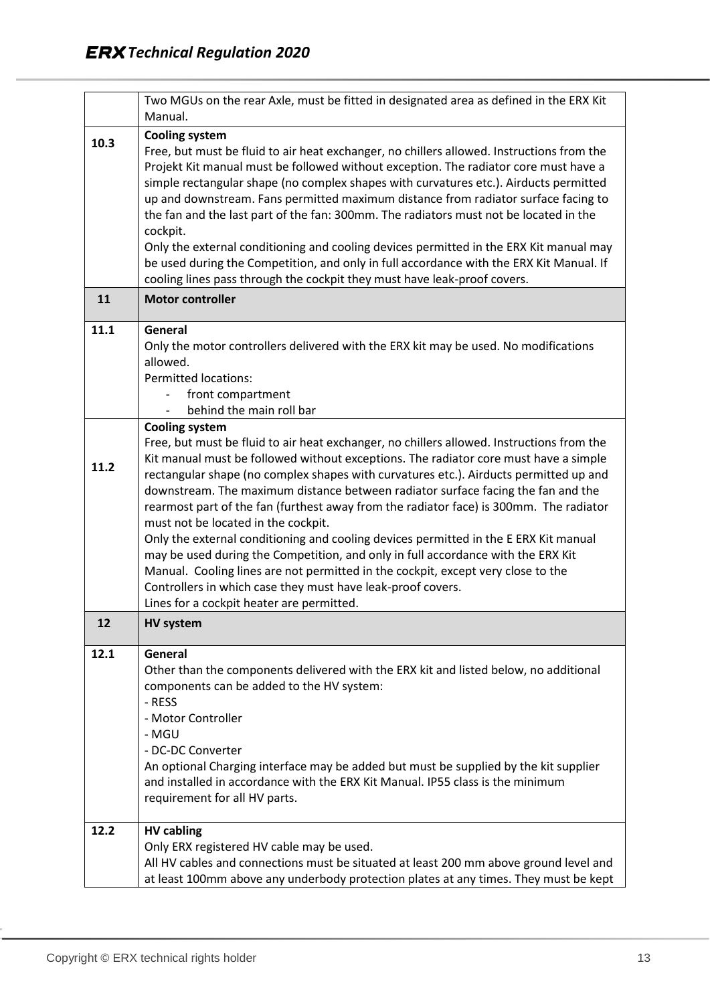|      | Two MGUs on the rear Axle, must be fitted in designated area as defined in the ERX Kit<br>Manual.                                                                                                                                                                                                                                                                                                                                                                                                                                                                                                                                                                                                                                                                                                                                                                                                    |
|------|------------------------------------------------------------------------------------------------------------------------------------------------------------------------------------------------------------------------------------------------------------------------------------------------------------------------------------------------------------------------------------------------------------------------------------------------------------------------------------------------------------------------------------------------------------------------------------------------------------------------------------------------------------------------------------------------------------------------------------------------------------------------------------------------------------------------------------------------------------------------------------------------------|
| 10.3 | <b>Cooling system</b><br>Free, but must be fluid to air heat exchanger, no chillers allowed. Instructions from the<br>Projekt Kit manual must be followed without exception. The radiator core must have a<br>simple rectangular shape (no complex shapes with curvatures etc.). Airducts permitted<br>up and downstream. Fans permitted maximum distance from radiator surface facing to<br>the fan and the last part of the fan: 300mm. The radiators must not be located in the<br>cockpit.<br>Only the external conditioning and cooling devices permitted in the ERX Kit manual may<br>be used during the Competition, and only in full accordance with the ERX Kit Manual. If<br>cooling lines pass through the cockpit they must have leak-proof covers.                                                                                                                                      |
| 11   | <b>Motor controller</b>                                                                                                                                                                                                                                                                                                                                                                                                                                                                                                                                                                                                                                                                                                                                                                                                                                                                              |
| 11.1 | General<br>Only the motor controllers delivered with the ERX kit may be used. No modifications<br>allowed.<br><b>Permitted locations:</b><br>front compartment<br>behind the main roll bar                                                                                                                                                                                                                                                                                                                                                                                                                                                                                                                                                                                                                                                                                                           |
| 11.2 | <b>Cooling system</b><br>Free, but must be fluid to air heat exchanger, no chillers allowed. Instructions from the<br>Kit manual must be followed without exceptions. The radiator core must have a simple<br>rectangular shape (no complex shapes with curvatures etc.). Airducts permitted up and<br>downstream. The maximum distance between radiator surface facing the fan and the<br>rearmost part of the fan (furthest away from the radiator face) is 300mm. The radiator<br>must not be located in the cockpit.<br>Only the external conditioning and cooling devices permitted in the E ERX Kit manual<br>may be used during the Competition, and only in full accordance with the ERX Kit<br>Manual. Cooling lines are not permitted in the cockpit, except very close to the<br>Controllers in which case they must have leak-proof covers.<br>Lines for a cockpit heater are permitted. |
| 12   | <b>HV system</b>                                                                                                                                                                                                                                                                                                                                                                                                                                                                                                                                                                                                                                                                                                                                                                                                                                                                                     |
| 12.1 | General<br>Other than the components delivered with the ERX kit and listed below, no additional<br>components can be added to the HV system:<br>- RESS<br>- Motor Controller<br>- MGU<br>- DC-DC Converter<br>An optional Charging interface may be added but must be supplied by the kit supplier<br>and installed in accordance with the ERX Kit Manual. IP55 class is the minimum<br>requirement for all HV parts.                                                                                                                                                                                                                                                                                                                                                                                                                                                                                |
| 12.2 | <b>HV cabling</b><br>Only ERX registered HV cable may be used.<br>All HV cables and connections must be situated at least 200 mm above ground level and<br>at least 100mm above any underbody protection plates at any times. They must be kept                                                                                                                                                                                                                                                                                                                                                                                                                                                                                                                                                                                                                                                      |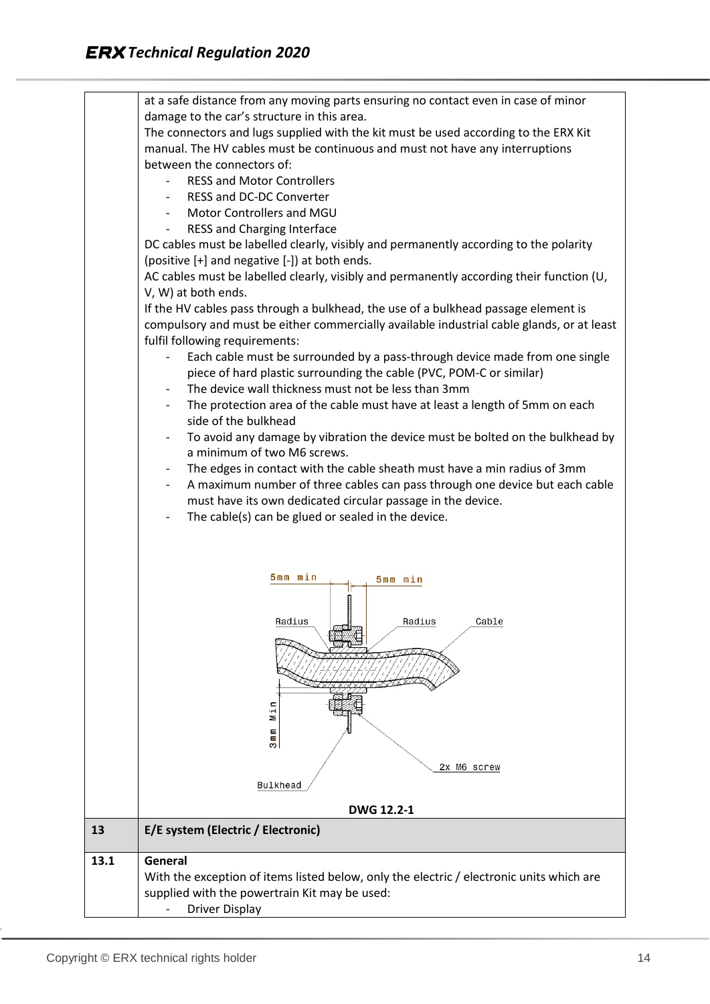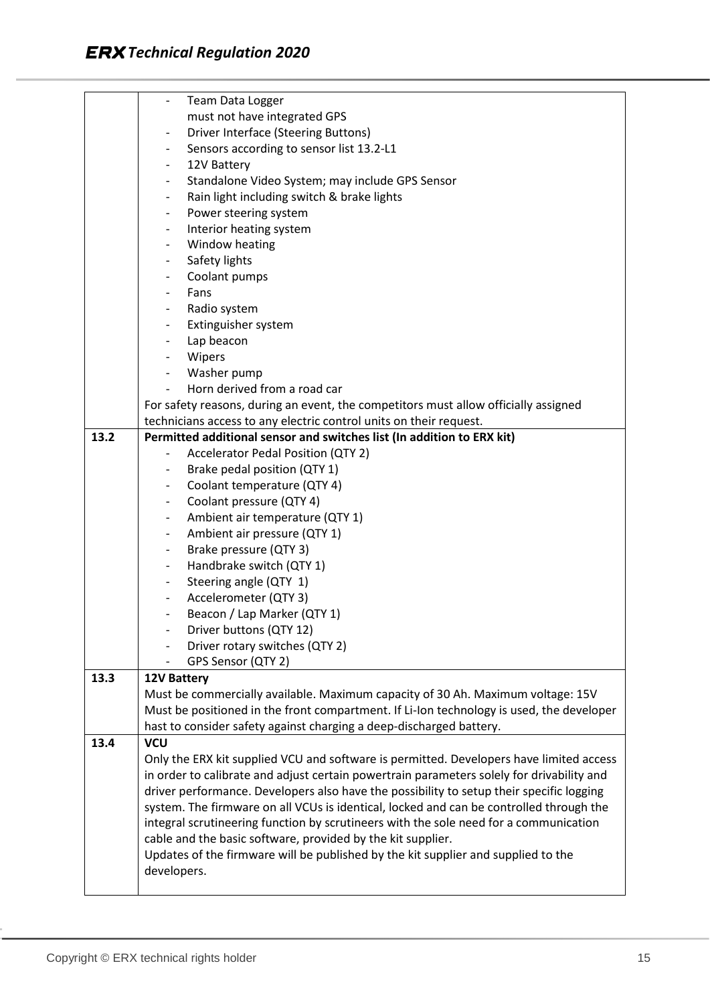|      | Team Data Logger<br>$\overline{\phantom{a}}$                                              |  |  |  |  |  |  |
|------|-------------------------------------------------------------------------------------------|--|--|--|--|--|--|
|      | must not have integrated GPS                                                              |  |  |  |  |  |  |
|      | Driver Interface (Steering Buttons)<br>$\overline{\phantom{a}}$                           |  |  |  |  |  |  |
|      | Sensors according to sensor list 13.2-L1<br>$\overline{\phantom{a}}$                      |  |  |  |  |  |  |
|      | 12V Battery<br>$\overline{\phantom{a}}$                                                   |  |  |  |  |  |  |
|      | Standalone Video System; may include GPS Sensor<br>$\overline{\phantom{a}}$               |  |  |  |  |  |  |
|      | Rain light including switch & brake lights<br>$\overline{\phantom{a}}$                    |  |  |  |  |  |  |
|      | Power steering system<br>$\overline{\phantom{a}}$                                         |  |  |  |  |  |  |
|      | Interior heating system<br>$\blacksquare$                                                 |  |  |  |  |  |  |
|      | Window heating<br>$\overline{\phantom{a}}$                                                |  |  |  |  |  |  |
|      | Safety lights<br>$\overline{\phantom{a}}$                                                 |  |  |  |  |  |  |
|      | Coolant pumps<br>$\overline{\phantom{a}}$                                                 |  |  |  |  |  |  |
|      | Fans<br>$\overline{\phantom{a}}$                                                          |  |  |  |  |  |  |
|      | Radio system<br>$\blacksquare$                                                            |  |  |  |  |  |  |
|      | Extinguisher system                                                                       |  |  |  |  |  |  |
|      | Lap beacon<br>$\blacksquare$                                                              |  |  |  |  |  |  |
|      | Wipers<br>$\overline{\phantom{a}}$                                                        |  |  |  |  |  |  |
|      | Washer pump                                                                               |  |  |  |  |  |  |
|      | Horn derived from a road car                                                              |  |  |  |  |  |  |
|      | For safety reasons, during an event, the competitors must allow officially assigned       |  |  |  |  |  |  |
|      | technicians access to any electric control units on their request.                        |  |  |  |  |  |  |
| 13.2 | Permitted additional sensor and switches list (In addition to ERX kit)                    |  |  |  |  |  |  |
|      | <b>Accelerator Pedal Position (QTY 2)</b>                                                 |  |  |  |  |  |  |
|      | Brake pedal position (QTY 1)                                                              |  |  |  |  |  |  |
|      | Coolant temperature (QTY 4)<br>$\overline{\phantom{a}}$                                   |  |  |  |  |  |  |
|      | Coolant pressure (QTY 4)<br>$\overline{\phantom{a}}$                                      |  |  |  |  |  |  |
|      | Ambient air temperature (QTY 1)<br>$\overline{\phantom{a}}$                               |  |  |  |  |  |  |
|      | Ambient air pressure (QTY 1)<br>$\blacksquare$                                            |  |  |  |  |  |  |
|      | Brake pressure (QTY 3)<br>$\overline{\phantom{a}}$                                        |  |  |  |  |  |  |
|      | Handbrake switch (QTY 1)<br>$\overline{\phantom{a}}$                                      |  |  |  |  |  |  |
|      | Steering angle (QTY 1)<br>$\blacksquare$                                                  |  |  |  |  |  |  |
|      | Accelerometer (QTY 3)<br>$\overline{\phantom{a}}$                                         |  |  |  |  |  |  |
|      | Beacon / Lap Marker (QTY 1)                                                               |  |  |  |  |  |  |
|      | Driver buttons (QTY 12)                                                                   |  |  |  |  |  |  |
|      | Driver rotary switches (QTY 2)                                                            |  |  |  |  |  |  |
|      | GPS Sensor (QTY 2)                                                                        |  |  |  |  |  |  |
| 13.3 | <b>12V Battery</b>                                                                        |  |  |  |  |  |  |
|      | Must be commercially available. Maximum capacity of 30 Ah. Maximum voltage: 15V           |  |  |  |  |  |  |
|      | Must be positioned in the front compartment. If Li-Ion technology is used, the developer  |  |  |  |  |  |  |
|      | hast to consider safety against charging a deep-discharged battery.                       |  |  |  |  |  |  |
| 13.4 | <b>VCU</b>                                                                                |  |  |  |  |  |  |
|      | Only the ERX kit supplied VCU and software is permitted. Developers have limited access   |  |  |  |  |  |  |
|      | in order to calibrate and adjust certain powertrain parameters solely for drivability and |  |  |  |  |  |  |
|      | driver performance. Developers also have the possibility to setup their specific logging  |  |  |  |  |  |  |
|      | system. The firmware on all VCUs is identical, locked and can be controlled through the   |  |  |  |  |  |  |
|      | integral scrutineering function by scrutineers with the sole need for a communication     |  |  |  |  |  |  |
|      | cable and the basic software, provided by the kit supplier.                               |  |  |  |  |  |  |
|      | Updates of the firmware will be published by the kit supplier and supplied to the         |  |  |  |  |  |  |
|      | developers.                                                                               |  |  |  |  |  |  |
|      |                                                                                           |  |  |  |  |  |  |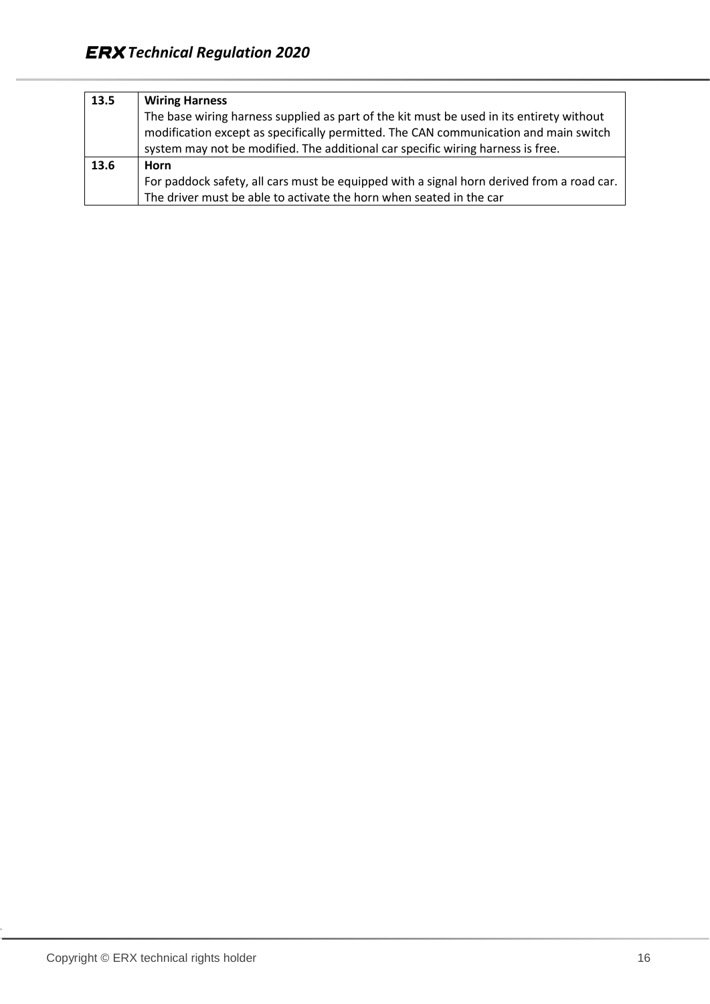| 13.5 | <b>Wiring Harness</b>                                                                     |
|------|-------------------------------------------------------------------------------------------|
|      | The base wiring harness supplied as part of the kit must be used in its entirety without  |
|      | modification except as specifically permitted. The CAN communication and main switch      |
|      | system may not be modified. The additional car specific wiring harness is free.           |
| 13.6 | Horn                                                                                      |
|      | For paddock safety, all cars must be equipped with a signal horn derived from a road car. |
|      | The driver must be able to activate the horn when seated in the car                       |